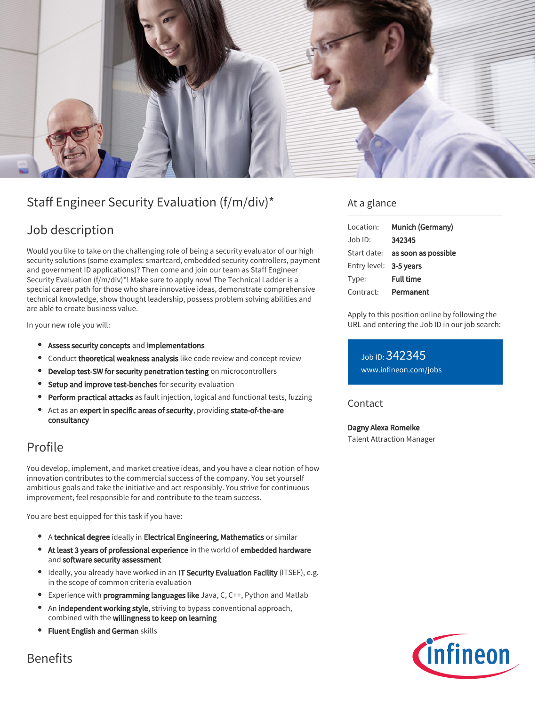

# Staff Engineer Security Evaluation (f/m/div)\*

### Job description

Would you like to take on the challenging role of being a security evaluator of our high security solutions (some examples: smartcard, embedded security controllers, payment and government ID applications)? Then come and join our team as Staff Engineer Security Evaluation (f/m/div)\*! Make sure to apply now! The Technical Ladder is a special career path for those who share innovative ideas, demonstrate comprehensive technical knowledge, show thought leadership, possess problem solving abilities and are able to create business value.

In your new role you will:

- Assess security concepts and implementations
- **Conduct theoretical weakness analysis** like code review and concept review
- Develop test-SW for security penetration testing on microcontrollers
- **Setup and improve test-benches** for security evaluation
- Perform practical attacks as fault injection, logical and functional tests, fuzzing
- Act as an expert in specific areas of security, providing state-of-the-are consultancy

### Profile

You develop, implement, and market creative ideas, and you have a clear notion of how innovation contributes to the commercial success of the company. You set yourself ambitious goals and take the initiative and act responsibly. You strive for continuous improvement, feel responsible for and contribute to the team success.

You are best equipped for this task if you have:

- A technical degree ideally in Electrical Engineering, Mathematics or similar
- At least 3 years of professional experience in the world of embedded hardware and software security assessment
- Ideally, you already have worked in an IT Security Evaluation Facility (ITSEF), e.g. in the scope of common criteria evaluation
- **Experience with programming languages like** Java, C, C++, Python and Matlab
- An independent working style, striving to bypass conventional approach, combined with the willingness to keep on learning
- **Fluent English and German skills**

#### At a glance

| Location:              | Munich (Germany)                       |
|------------------------|----------------------------------------|
| Job ID:                | 342345                                 |
|                        | Start date: <b>as soon as possible</b> |
| Entry level: 3-5 years |                                        |
| Type:                  | <b>Full time</b>                       |
| Contract:              | Permanent                              |

Apply to this position online by following the URL and entering the Job ID in our job search:

Job ID: 342345 [www.infineon.com/jobs](https://www.infineon.com/jobs)

#### **Contact**

Dagny Alexa Romeike Talent Attraction Manager



Benefits